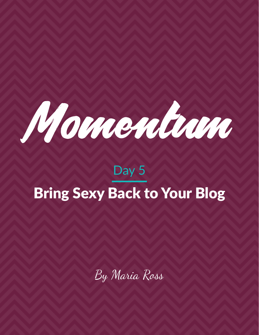

# Day 5 Bring Sexy Back to Your Blog

By Maria Ross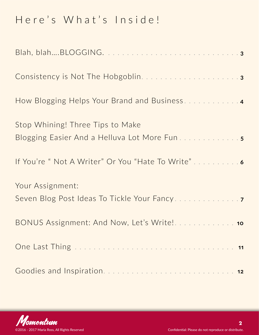### Here's What's Inside!

| Stop Whining! Three Tips to Make                    |
|-----------------------------------------------------|
| If You're " Not A Writer" Or You "Hate To Write"  6 |
| Your Assignment:                                    |
|                                                     |
|                                                     |
|                                                     |

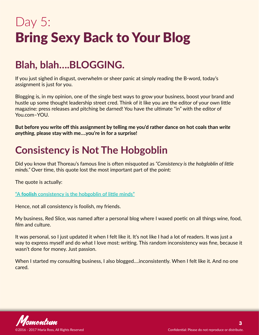## <span id="page-2-0"></span>Day 5: Bring Sexy Back to Your Blog

### **Blah, blah….BLOGGING.**

If you just sighed in disgust, overwhelm or sheer panic at simply reading the B-word, today's assignment is just for you.

Blogging is, in my opinion, one of the single best ways to grow your business, boost your brand and hustle up some thought leadership street cred. Think of it like you are the editor of your own little magazine: press releases and pitching be darned! You have the ultimate "in" with the editor of You.com–YOU.

**But before you write off this assignment by telling me you'd rather dance on hot coals than** *write anything,* **please stay with me….you're in for a surprise!**

### **Consistency is Not The Hobgoblin**

Did you know that Thoreau's famous line is often misquoted as *"Consistency is the hobgloblin of little minds."* Over time, this quote lost the most important part of the point:

The quote is actually:

**"A** foolish **[consistency is the hobgoblin of little minds"](http://www.azquotes.com/quote/89269)**

Hence, not all consistency is foolish, my friends.

My business, Red Slice, was named after a personal blog where I waxed poetic on all things wine, food, film and culture.

It was personal, so I just updated it when I felt like it. It's not like I had a lot of readers. It was just a way to express myself and do what I love most: writing. This random inconsistency was fine, because it wasn't done for money. Just passion.

When I started my consulting business, I also blogged....inconsistently. When I felt like it. And no one cared.

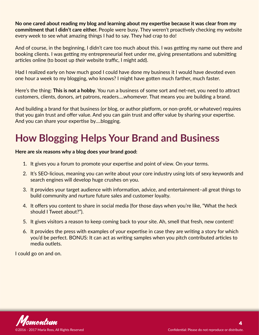<span id="page-3-0"></span>**No one cared about reading my blog and learning about my expertise because it was clear from my commitment that I didn't care either.** People were busy. They weren't proactively checking my website every week to see what amazing things I had to say. They had crap to do!

And of course, in the beginning, I didn't care too much about this. I was getting my name out there and booking clients. I was getting my entrepreneurial feet under me, giving presentations and submitting articles online (to boost up *their* website traffic, I might add).

Had I realized early on how much good I could have done my business it I would have devoted even one hour a week to my blogging, who knows? I might have gotten much farther, much faster.

Here's the thing: **This is not a hobby**. You run a business of some sort and net-net, you need to attract customers, clients, donors, art patrons, readers….whomever. That means you are building a brand.

And building a brand for that business (or blog, or author platform, or non-profit, or whatever) requires that you gain trust and offer value. And you can gain trust and offer value by sharing your expertise. And you can share your expertise by….blogging.

### **How Blogging Helps Your Brand and Business**

#### **Here are six reasons why a blog does your brand good:**

- 1. It gives you a forum to promote your expertise and point of view. On your terms.
- 2. It's SEO-licious, meaning you can write about your core industry using lots of sexy keywords and search engines will develop huge crushes on you.
- 3. It provides your target audience with information, advice, and entertainment–all great things to build community and nurture future sales and customer loyalty.
- 4. It offers you content to share in social media (for those days when you're like, "What the heck should I Tweet about?").
- 5. It gives visitors a reason to keep coming back to your site. Ah, smell that fresh, new content!
- 6. It provides the press with examples of your expertise in case they are writing a story for which you'd be perfect. BONUS: It can act as writing samples when you pitch contributed articles to media outlets.

I could go on and on.

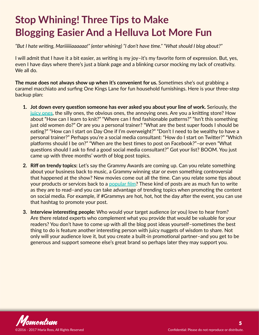### <span id="page-4-0"></span>**Stop Whining! Three Tips to Make Blogging Easier And a Helluva Lot More Fun**

*"But I hate writing, Mariiiiiiaaaaaa!" (enter whining) "I don't have time." "What should I blog about?"* 

I will admit that I have it a bit easier, as writing is my joy–it's my favorite form of expression. But, yes, even I have days where there's just a blank page and a blinking cursor mocking my lack of creativity. We all do.

**The muse does not always show up when it's convenient for us.** Sometimes she's out grabbing a caramel macchiato and surfing One Kings Lane for fun household furnishings. Here is your three-step backup plan:

- **1. Jot down every question someone has ever asked you about your line of work.** Seriously, the **[juicy ones](http://red-slice.com/2013/07/8-unexpected-places-to-find-your-next-client-or-customer/)**, the silly ones, the obvious ones, the annoying ones. Are you a knitting store? How about "How can I learn to knit?" "Where can I find fashionable patterns?" "Isn't this something just old women do?" Or are you a personal trainer? "What are the best super foods I should be eating?" "How can I start on Day One if I'm overweight?" "Don't I need to be wealthy to have a personal trainer?" Perhaps you're a social media consultant: "How do I start on Twitter?" "Which platforms should I be on?" "When are the best times to post on Facebook?"–or even "What questions should I ask to find a good social media consultant?" Got your list? BOOM. You just came up with three months' worth of blog post topics.
- **2. Riff on trendy topics:** Let's say the Grammy Awards are coming up. Can you relate something about your business back to music, a Grammy winning star or even something controversial that happened at the show? New movies come out all the time. Can you relate some tips about your products or services back to a **[popular film](http://red-slice.com/2013/01/4-powerful-business-lessons-from-james-bond-and-skyfall/)**? These kind of posts are as much fun to write as they are to read–and you can take advantage of trending topics when promoting the content on social media. For example, if #Grammys are hot, hot, hot the day after the event, you can use that hashtag to promote your post.
- **3. Interview interesting people:** Who would your target audience (or you) love to hear from? Are there related experts who complement what you provide that would be valuable for your readers? You don't have to come up with all the blog post ideas yourself–sometimes the best thing to do is feature another interesting person with juicy nuggets of wisdom to share. Not only will your audience love it, but you create a built-in promotional partner–and you get to be generous and support someone else's great brand so perhaps later they may support you.

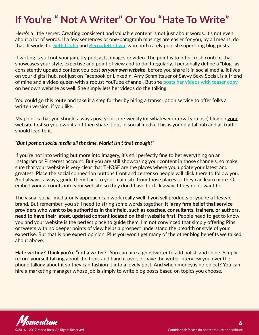### <span id="page-5-0"></span>**If You're " Not A Writer" Or You "Hate To Write"**

Here's a little secret: Creating consistent and valuable content is not just about words. It's not even about a lot of words. If a few sentences or one-paragraph musings are easier for you, by all means, do that. It works for **[Seth Godin](http://sethgodin.typepad.com/)** and **[Bernadette Jiwa](http://thestoryoftelling.com/blog/)**, who both rarely publish super-long blog posts.

If writing is still not your jam, try podcasts, images or video. The point is to offer fresh content that showcases your style, expertise and point of view and to do it regularly. I personally define a "blog" as consistently updated content you post *on your own website*, before you share it in social media. It lives on your digital hub, not just on Facebook or LinkedIn. Amy Schmittauer of Savvy Sexy Social, is a friend of mine and a video queen with a robust YouTube channel. But she **[posts her videos with teaser copy](http://savvysexysocial.com/)** on her own website as well. She simply lets her videos do the talking.

You could go this route and take it a step further by hiring a transcription service to offer folks a written version, if you like.

My point is that you should always post your core weekly (or whatever interval you use) blog on your website first so you own it and then share it out in social media. This is your digital hub and all traffic should lead to it.

#### *"But I post on social media all the time, Maria! Isn't that enough?"*

If you're not into writing but more into imagery, it's still perfectly fine to bet everything on an Instagram or Pinterest account. But you are still showcasing your content in those channels, so make sure that your website is very clear that THOSE are the places where you update your latest and greatest. Place the social connection buttons front and center so people will click there to follow you. And always, always, guide them back to your main site from those places so they can learn more. Or embed your accounts into your website so they don't have to click away if they don't want to.

The visual-social-media-only approach can work really well if you sell products or you're a lifestyle brand. But remember, you still need to string some words together. **It is my firm belief that service providers who want to be authorities in their field, such as coaches, consultants, trainers, or authors, need to have their latest, updated content located on their website first.** People need to get to know you and your website is the perfect place to guide them. I'm not convinced that simply offering Pins or tweets with no deeper points of view helps a prospect understand the breadth or style of your expertise. But that is one expert opinion! Plus you won't get many of the other blog benefits we talked about above.

**Hate writing? Think you're "not a writer?"** You can hire a ghostwriter to add polish and shine. Simply record yourself talking about the topic and hand it over, or have the writer interview you over the phone talking about it so they can fashion it into a lovely post. And when money is no object? You can hire a marketing manager whose job is simply to write blog posts based on topics you choose.

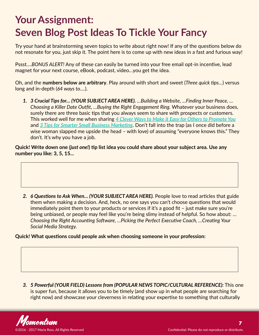### <span id="page-6-0"></span>**Your Assignment: Seven Blog Post Ideas To Tickle Your Fancy**

Try your hand at brainstorming seven topics to write about right now! If any of the questions below do not resonate for you, just skip it. The point here is to come up with new ideas in a fast and furious way!

Pssst….*BONUS ALERT!* Any of these can easily be turned into your free email opt-in incentive, lead magnet for your next course, eBook, podcast, video…you get the idea.

Oh, and the **numbers below are arbitrary**. Play around with short and sweet (*Three quick tips…*) versus long and in-depth (*64 ways to….*).

*1. 3 Crucial Tips for… (YOUR SUBJECT AREA HERE). …Building a Website, …Finding Inner Peace, … Choosing a Killer Date Outfit, …Buying the Right Engagement Ring.* Whatever your business does, surely there are three basic tips that you always seem to share with prospects or customers. This worked well for me when sharing *[4 Clever Ways to Make it Easy for Others to Promote You](http://red-slice.com/2015/02/4-clever-ways-make-easy-others-promote/)* and *[3 Tips for Smarter Small Business Marketing](http://red-slice.com/?p=3102)*. Don't fall into the trap (as I once did before a wise woman slapped me upside the head – with love) of assuming "everyone knows this." They don't. It's why you have a job.

**Quick! Write down one** *(just one!***) tip list idea you could share about your subject area. Use any number you like: 3, 5, 15...**

*2. 6 Questions to Ask When… (YOUR SUBJECT AREA HERE).* People love to read articles that guide them when making a decision. And, heck, no one says you can't choose questions that would immediately point them to your products or services if it's a good fit – just make sure you're being unbiased, or people may feel like you're being slimy instead of helpful. So how about: ... *Choosing the Right Accounting Software, …Picking the Perfect Executive Coach, …Creating Your Social Media Strategy.*

**Quick! What questions could people ask when choosing someone in your profession:**

*3. 5 Powerful (YOUR FIELD) Lessons from (POPULAR NEWS TOPIC/CULTURAL REFERENCE):* This one is super fun, because it allows you to be timely (and show up in what people are searching for right now) and showcase your cleverness in relating your expertise to something that culturally

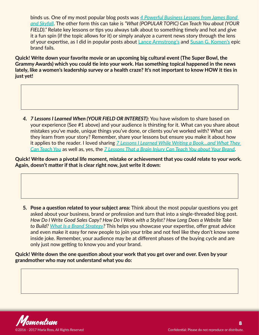binds us. One of my most popular blog posts was *[4 Powerful Business Lessons from James Bond](http://red-slice.com/2013/01/4-powerful-business-lessons-from-james-bond-and-skyfall/)  [and Skyfall](http://red-slice.com/2013/01/4-powerful-business-lessons-from-james-bond-and-skyfall/)*. The other form this can take is *"What (POPULAR TOPIC) Can Teach You about (YOUR FIELD)."* Relate key lessons or tips you always talk about to something timely and hot and give it a fun spin (if the topic allows for it) or simply analyze a current news story through the lens of your expertise, as I did in popular posts about **[Lance Armstrong's](http://red-slice.com/2013/01/lance-armstrong-death-of-a-brand-or-fall-of-an-idol/)** and **[Susan G. Komen's](http://red-slice.com/2012/02/brand-autopsy-komen-and-planned-parenthood/)** epic brand fails.

**Quick! Write down your favorite movie or an upcoming big cultural event (The Super Bowl, the Grammy Awards) which you could tie into your work. Has something topical happened in the news lately, like a women's leadership survey or a health craze? It's not important to know HOW it ties in just yet!**

*4. 7 Lessons I Learned When (YOUR FIELD OR INTEREST):* You have wisdom to share based on your experience (See #1 above) and your audience is thirsting for it. What can you share about mistakes you've made, unique things you've done, or clients you've worked with? What can they learn from your story? Remember, share your lessons but ensure you make it about how it applies to the reader. I loved sharing *[7 Lessons I Learned While Writing a Book…and What They](http://red-slice.com/?p=3345)  [Can Teach You](http://red-slice.com/?p=3345)* as well as, yes, the *[7 Lessons That a Brain Injury Can Teach You about Your Brand](http://red-slice.com/?p=1178)*.

**Quick! Write down a pivotal life moment, mistake or achievement that you could relate to your work. Again, doesn't matter if that is clear right now, just write it down:**

**5. Pose a question related to your subject area:** Think about the most popular questions you get asked about your business, brand or profession and turn that into a single-threaded blog post. *How Do I Write Good Sales Copy? How Do I Work with a Stylist? How Long Does a Website Take to Build? [What Is a Brand Strategy](http://red-slice.com/?p=4046)?* This helps you showcase your expertise, offer great advice and even make it easy for new people to join your tribe and not feel like they don't know some inside joke. Remember, your audience may be at different phases of the buying cycle and are only just now getting to know you and your brand.

**Quick! Write down the one question about your work that you get over and over. Even by your grandmother who may not understand what you do:**

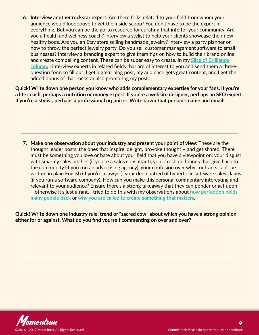**6. Interview another rockstar expert:** Are there folks related to your field from whom your audience would loooooove to get the inside scoop? You don't have to be the expert in everything. But you can be the go-to resource for curating that info for your community. Are you a health and wellness coach? Interview a stylist to help your clients showcase their new healthy bods. Are you an Etsy store selling handmade jewelry? Interview a party planner on how to throw the perfect jewelry party. Do you sell customer management software to small businesses? Interview a branding expert to give them tips on how to build their brand online and create compelling content. These can be super easy to create. In my **[Slice of Brilliance](http://red-slice.com/category/brilliance/)  [column](http://red-slice.com/category/brilliance/)**, I interview experts in related fields that are of interest to you and send them a threequestion form to fill out. I get a great blog post, my audience gets great content, and I get the added bonus of that rockstar also promoting my post.

**Quick! Write down one person you know who adds complementary expertise for your fans. If you're a life coach, perhaps a nutrition or money expert. If you're a website designer, perhaps an SEO expert. If you're a stylist, perhaps a professional organizer. Write down that person's name and email:**

**7. Make one observation about your industry and present your point of view:** These are the thought leader posts, the ones that inspire, delight, provoke thought – and get shared. There must be something you love or hate about your field that you have a viewpoint on: your disgust with smarmy sales pitches (if you're a sales consultant), your crush on brands that give back to the community (if you run an advertising agency), your confusion over why contracts can't be written in plain English (if you're a lawyer), your deep hatred of hyperbolic software sales claims (if you run a software company). How can you make this personal commentary interesting and relevant to your audience? Ensure there's a strong takeaway that they can ponder or act upon – otherwise it's just a rant. I tried to do this with my observations about **[how perfection holds](http://red-slice.com/2015/02/problem-perfection/)  [many people back](http://red-slice.com/2015/02/problem-perfection/)** or **[why you are called to create something that matters](http://red-slice.com/?p=4859)**.

**Quick! Write down one industry rule, trend or "sacred cow" about which you have a strong opinion either for or against. What do you find yourself commenting on over and over?**

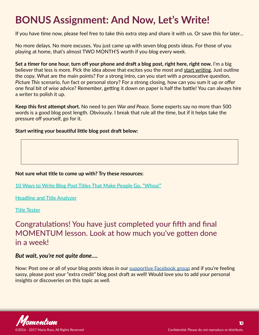### <span id="page-9-0"></span>**BONUS Assignment: And Now, Let's Write!**

If you have time now, please feel free to take this extra step and share it with us. Or save this for later…

No more delays. No more excuses. You just came up with seven blog posts ideas. For those of you playing at home, that's almost TWO MONTH'S worth if you blog every week.

**Set a timer for one hour, turn off your phone and draft a blog post, right here, right now.** I'm a big believer that less is more. Pick the idea above that excites you the most and start writing. Just outline the copy. What are the main points? For a strong intro, can you start with a provocative question, *Picture This* scenario, fun fact or personal story? For a strong closing, how can you sum it up or offer one final bit of wise advice? Remember, getting it down on paper is half the battle! You can always hire a writer to polish it up.

**Keep this first attempt short.** No need to pen *War and Peace*. Some experts say no more than 500 words is a good blog post length. Obviously. I break that rule all the time, but if it helps take the pressure off yourself, go for it.

**Start writing your beautiful little blog post draft below:**

#### **Not sure what title to come up with? Try these resources:**

**[10 Ways to Write Blog Post Titles That Make People Go, "Whoa!"](http://www.alexandrafranzen.com/2014/09/25/titles-and-headlines/)**

**[Headline and Title Analyzer](http://coschedule.com/headline-analyzer)**

**[Title Tester](https://www.titletester.com/)**

Congratulations! You have just completed your fifth and final MOMENTUM lesson. Look at how much you've gotten done in a week!

#### *But wait, you're not quite done….*

Now: Post one or all of your blog posts ideas in our [supportive Facebook group](https://www.facebook.com/groups/238333860005596/) and if you're feeling sassy, please post your "extra credit" blog post draft as well! Would love you to add your personal insights or discoveries on this topic as well.

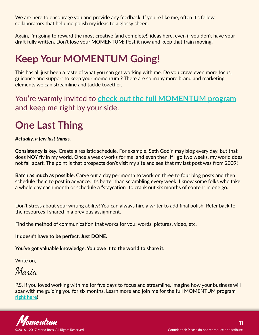<span id="page-10-0"></span>We are here to encourage you and provide any feedback. If you're like me, often it's fellow collaborators that help me polish my ideas to a glossy sheen.

Again, I'm going to reward the most creative (and complete!) ideas here, even if you don't have your draft fully written. Don't lose your MOMENTUM: Post it now and keep that train moving!

### **Keep Your MOMENTUM Going!**

This has all just been a taste of what you can get working with me. Do you crave even more focus, guidance and support to keep your momentum ? There are so many more brand and marketing elements we can streamline and tackle together.

You're warmly invited to **[check out the full MOMENTUM program](http://www.red-slice.com/momentum)** and keep me right by your side.

### **One Last Thing**

*Actually, a few last things.* 

**Consistency is key.** Create a realistic schedule. For example, Seth Godin may blog every day, but that does NOY fly in my world. Once a week works for me, and even then, if I go two weeks, my world does not fall apart. The point is that prospects don't visit my site and see that my last post was from 2009!

**Batch as much as possible.** Carve out a day per month to work on three to four blog posts and then schedule them to post in advance. It's better than scrambling every week. I know some folks who take a whole day each month or schedule a "staycation" to crank out six months of content in one go.

Don't stress about your writing ability! You can always hire a writer to add final polish. Refer back to the resources I shared in a previous assignment.

Find the method of communication that works for you: words, pictures, video, etc.

**It doesn't have to be perfect. Just DONE.**

**You've got valuable knowledge. You owe it to the world to share it.**

Write on,

Maria

P.S. If you loved working with me for five days to focus and streamline, imagine how your business will soar with me guiding you for six months. Learn more and join me for the full MOMENTUM program **[right here](http://www.red-slice.com/momentum)**!